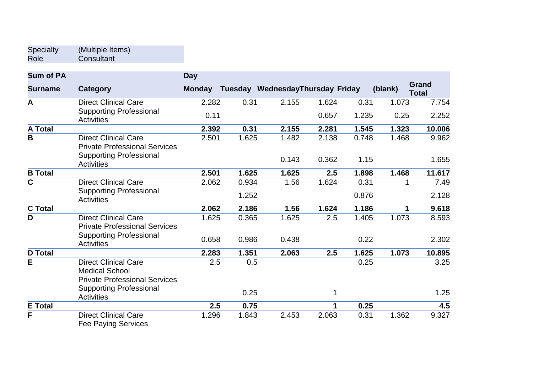| <b>Specialty</b> | (Multiple Items) |
|------------------|------------------|
| Role             | Consultant       |

| <b>Sum of PA</b> |                                                                                                       | <b>Day</b>    |       |                                  |       |       |         |                              |
|------------------|-------------------------------------------------------------------------------------------------------|---------------|-------|----------------------------------|-------|-------|---------|------------------------------|
| <b>Surname</b>   | Category                                                                                              | <b>Monday</b> |       | Tuesday WednesdayThursday Friday |       |       | (blank) | <b>Grand</b><br><b>Total</b> |
| $\mathbf{A}$     | <b>Direct Clinical Care</b>                                                                           | 2.282         | 0.31  | 2.155                            | 1.624 | 0.31  | 1.073   | 7.754                        |
|                  | <b>Supporting Professional</b><br><b>Activities</b>                                                   | 0.11          |       |                                  | 0.657 | 1.235 | 0.25    | 2.252                        |
| <b>A Total</b>   |                                                                                                       | 2.392         | 0.31  | 2.155                            | 2.281 | 1.545 | 1.323   | 10.006                       |
| B                | <b>Direct Clinical Care</b><br><b>Private Professional Services</b><br><b>Supporting Professional</b> | 2.501         | 1.625 | 1.482                            | 2.138 | 0.748 | 1.468   | 9.962                        |
|                  | <b>Activities</b>                                                                                     |               |       | 0.143                            | 0.362 | 1.15  |         | 1.655                        |
| <b>B</b> Total   |                                                                                                       | 2.501         | 1.625 | 1.625                            | 2.5   | 1.898 | 1.468   | 11.617                       |
| $\overline{c}$   | <b>Direct Clinical Care</b>                                                                           | 2.062         | 0.934 | 1.56                             | 1.624 | 0.31  |         | 7.49                         |
|                  | <b>Supporting Professional</b><br><b>Activities</b>                                                   |               | 1.252 |                                  |       | 0.876 |         | 2.128                        |
| <b>C</b> Total   |                                                                                                       | 2.062         | 2.186 | 1.56                             | 1.624 | 1.186 | 1       | 9.618                        |
| D                | <b>Direct Clinical Care</b><br><b>Private Professional Services</b>                                   | 1.625         | 0.365 | 1.625                            | 2.5   | 1.405 | 1.073   | 8.593                        |
|                  | <b>Supporting Professional</b><br><b>Activities</b>                                                   | 0.658         | 0.986 | 0.438                            |       | 0.22  |         | 2.302                        |
| <b>D</b> Total   |                                                                                                       | 2.283         | 1.351 | 2.063                            | 2.5   | 1.625 | 1.073   | 10.895                       |
| E                | <b>Direct Clinical Care</b><br><b>Medical School</b><br><b>Private Professional Services</b>          | 2.5           | 0.5   |                                  |       | 0.25  |         | 3.25                         |
|                  | <b>Supporting Professional</b><br><b>Activities</b>                                                   |               | 0.25  |                                  | 1     |       |         | 1.25                         |
| <b>E</b> Total   |                                                                                                       | 2.5           | 0.75  |                                  | 1     | 0.25  |         | 4.5                          |
| F                | <b>Direct Clinical Care</b><br><b>Fee Paying Services</b>                                             | 1.296         | 1.843 | 2.453                            | 2.063 | 0.31  | 1.362   | 9.327                        |